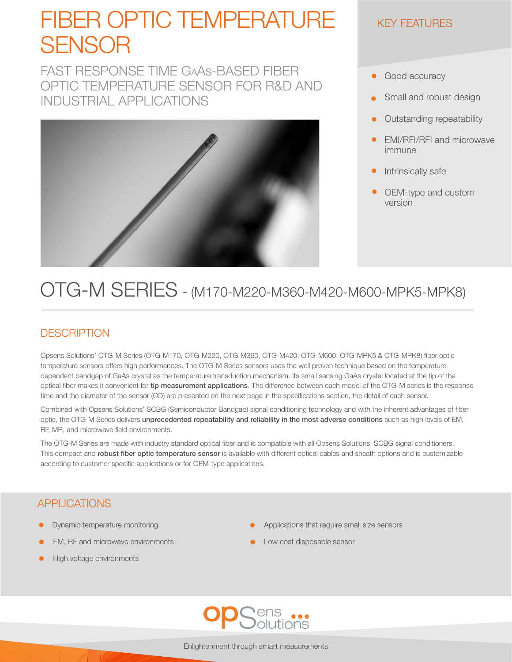# FIBER OPTIC TEMPERATURE SENSOR

FAST RESPONSE TIME GaAs-BASED FIBER OPTIC TEMPERATURE SENSOR FOR R&D AND INDUSTRIAL APPLICATIONS



#### KEY FEATURES

- $\bullet$ Good accuracy
- Small and robust design
- Outstanding repeatability
- EMI/RFI/RFI and microwave immune
- Intrinsically safe
- OEM-type and custom version

## OTG-M SERIES - (M170-M220-M360-M420-M600-MPK5-MPK8)

#### **DESCRIPTION**

Opsens Solutions' OTG-M Series (OTG-M170, OTG-M220, OTG-M360, OTG-M420, OTG-M600, OTG-MPK5 & OTG-MPK8) fiber optic temperature sensors offers high performances. The OTG-M Series sensors uses the well proven technique based on the temperaturedependent bandgap of GaAs crystal as the temperature transduction mechanism. Its small sensing GaAs crystal located at the tip of the optical fiber makes it convenient for tip measurement applications. The difference between each model of the OTG-M series is the response time and the diameter of the sensor (OD) are presented on the next page in the specifications section, the detail of each sensor.

Combined with Opsens Solutions' SCBG (Semiconductor Bandgap) signal conditioning technology and with the inherent advantages of fiber optic, the OTG-M Series delivers unprecedented repeatability and reliability in the most adverse conditions such as high levels of EM, RF, MR, and microwave field environments.

The OTG-M Series are made with industry standard optical fiber and is compatible with all Opsens Solutions' SCBG signal conditioners. This compact and robust fiber optic temperature sensor is available with different optical cables and sheath options and is customizable according to customer specific applications or for OEM-type applications.

#### APPLICATIONS

- Dynamic temperature monitoring
- EM, RF and microwave environments
- High voltage environments
- Applications that require small size sensors
- Low cost disposable sensor